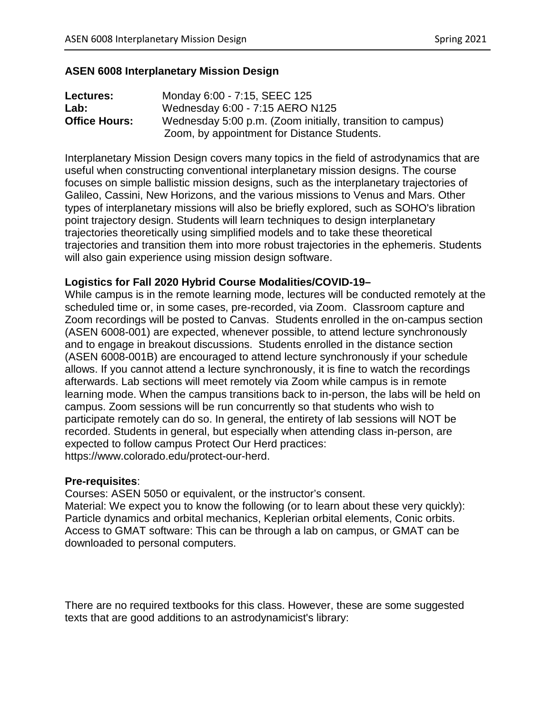#### **ASEN 6008 Interplanetary Mission Design**

| Lectures:            | Monday 6:00 - 7:15, SEEC 125                               |
|----------------------|------------------------------------------------------------|
| Lab:                 | Wednesday 6:00 - 7:15 AERO N125                            |
| <b>Office Hours:</b> | Wednesday 5:00 p.m. (Zoom initially, transition to campus) |
|                      | Zoom, by appointment for Distance Students.                |

Interplanetary Mission Design covers many topics in the field of astrodynamics that are useful when constructing conventional interplanetary mission designs. The course focuses on simple ballistic mission designs, such as the interplanetary trajectories of Galileo, Cassini, New Horizons, and the various missions to Venus and Mars. Other types of interplanetary missions will also be briefly explored, such as SOHO's libration point trajectory design. Students will learn techniques to design interplanetary trajectories theoretically using simplified models and to take these theoretical trajectories and transition them into more robust trajectories in the ephemeris. Students will also gain experience using mission design software.

#### **Logistics for Fall 2020 Hybrid Course Modalities/COVID-19–**

While campus is in the remote learning mode, lectures will be conducted remotely at the scheduled time or, in some cases, pre-recorded, via Zoom. Classroom capture and Zoom recordings will be posted to Canvas. Students enrolled in the on-campus section (ASEN 6008-001) are expected, whenever possible, to attend lecture synchronously and to engage in breakout discussions. Students enrolled in the distance section (ASEN 6008-001B) are encouraged to attend lecture synchronously if your schedule allows. If you cannot attend a lecture synchronously, it is fine to watch the recordings afterwards. Lab sections will meet remotely via Zoom while campus is in remote learning mode. When the campus transitions back to in-person, the labs will be held on campus. Zoom sessions will be run concurrently so that students who wish to participate remotely can do so. In general, the entirety of lab sessions will NOT be recorded. Students in general, but especially when attending class in-person, are expected to follow campus Protect Our Herd practices: https://www.colorado.edu/protect-our-herd.

#### **Pre-requisites**:

Courses: ASEN 5050 or equivalent, or the instructor's consent. Material: We expect you to know the following (or to learn about these very quickly): Particle dynamics and orbital mechanics, Keplerian orbital elements, Conic orbits. Access to GMAT software: This can be through a lab on campus, or GMAT can be downloaded to personal computers.

There are no required textbooks for this class. However, these are some suggested texts that are good additions to an astrodynamicist's library: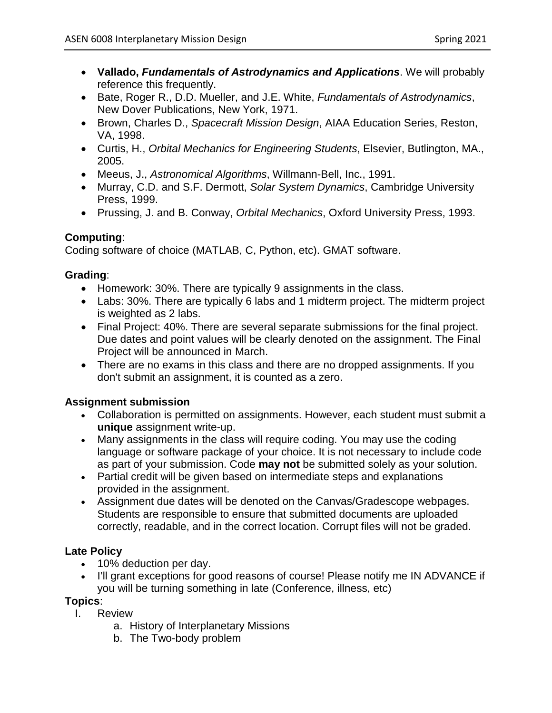- **Vallado,** *Fundamentals of Astrodynamics and Applications*. We will probably reference this frequently.
- Bate, Roger R., D.D. Mueller, and J.E. White, *Fundamentals of Astrodynamics*, New Dover Publications, New York, 1971.
- Brown, Charles D., *Spacecraft Mission Design*, AIAA Education Series, Reston, VA, 1998.
- Curtis, H., *Orbital Mechanics for Engineering Students*, Elsevier, Butlington, MA., 2005.
- Meeus, J., *Astronomical Algorithms*, Willmann-Bell, Inc., 1991.
- Murray, C.D. and S.F. Dermott, *Solar System Dynamics*, Cambridge University Press, 1999.
- Prussing, J. and B. Conway, *Orbital Mechanics*, Oxford University Press, 1993.

# **Computing**:

Coding software of choice (MATLAB, C, Python, etc). GMAT software.

# **Grading**:

- Homework: 30%. There are typically 9 assignments in the class.
- Labs: 30%. There are typically 6 labs and 1 midterm project. The midterm project is weighted as 2 labs.
- Final Project: 40%. There are several separate submissions for the final project. Due dates and point values will be clearly denoted on the assignment. The Final Project will be announced in March.
- There are no exams in this class and there are no dropped assignments. If you don't submit an assignment, it is counted as a zero.

# **Assignment submission**

- Collaboration is permitted on assignments. However, each student must submit a **unique** assignment write-up.
- Many assignments in the class will require coding. You may use the coding language or software package of your choice. It is not necessary to include code as part of your submission. Code **may not** be submitted solely as your solution.
- Partial credit will be given based on intermediate steps and explanations provided in the assignment.
- Assignment due dates will be denoted on the Canvas/Gradescope webpages. Students are responsible to ensure that submitted documents are uploaded correctly, readable, and in the correct location. Corrupt files will not be graded.

# **Late Policy**

- 10% deduction per day.
- I'll grant exceptions for good reasons of course! Please notify me IN ADVANCE if you will be turning something in late (Conference, illness, etc)

# **Topics**:

- I. Review
	- a. History of Interplanetary Missions
	- b. The Two-body problem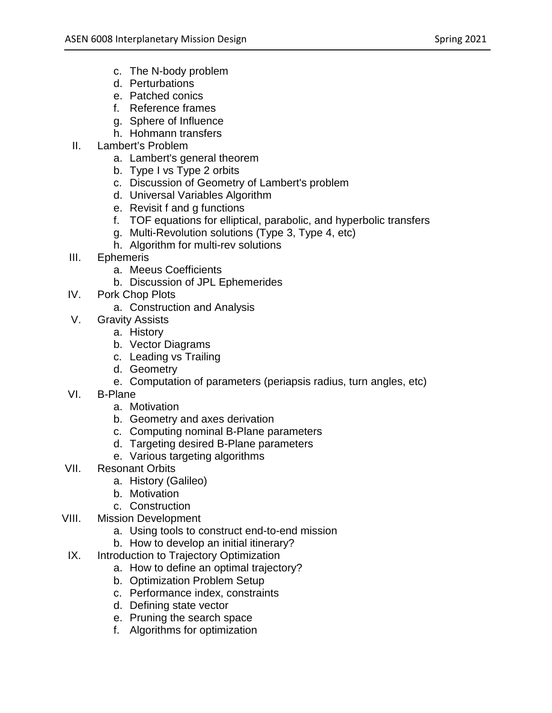- c. The N-body problem
- d. Perturbations
- e. Patched conics
- f. Reference frames
- g. Sphere of Influence
- h. Hohmann transfers
- II. Lambert's Problem
	- a. Lambert's general theorem
	- b. Type I vs Type 2 orbits
	- c. Discussion of Geometry of Lambert's problem
	- d. Universal Variables Algorithm
	- e. Revisit f and g functions
	- f. TOF equations for elliptical, parabolic, and hyperbolic transfers
	- g. Multi-Revolution solutions (Type 3, Type 4, etc)
	- h. Algorithm for multi-rev solutions
- III. Ephemeris
	- a. Meeus Coefficients
	- b. Discussion of JPL Ephemerides
- IV. Pork Chop Plots
	- a. Construction and Analysis
- V. Gravity Assists
	- a. History
	- b. Vector Diagrams
	- c. Leading vs Trailing
	- d. Geometry
	- e. Computation of parameters (periapsis radius, turn angles, etc)
- VI. B-Plane
	- a. Motivation
	- b. Geometry and axes derivation
	- c. Computing nominal B-Plane parameters
	- d. Targeting desired B-Plane parameters
	- e. Various targeting algorithms
- VII. Resonant Orbits
	- a. History (Galileo)
	- b. Motivation
	- c. Construction
- VIII. Mission Development
	- a. Using tools to construct end-to-end mission
	- b. How to develop an initial itinerary?
	- IX. Introduction to Trajectory Optimization
		- a. How to define an optimal trajectory?
		- b. Optimization Problem Setup
		- c. Performance index, constraints
		- d. Defining state vector
		- e. Pruning the search space
		- f. Algorithms for optimization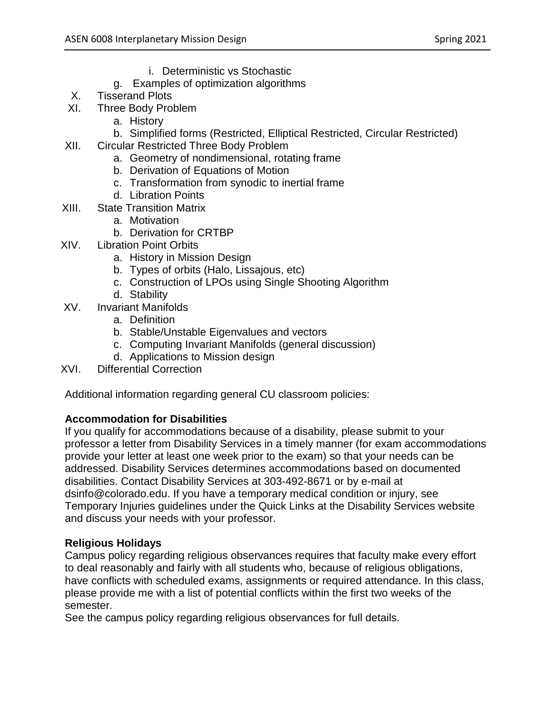- i. Deterministic vs Stochastic
- g. Examples of optimization algorithms
- X. Tisserand Plots
- XI. Three Body Problem
	- a. History
	- b. Simplified forms (Restricted, Elliptical Restricted, Circular Restricted)
- XII. Circular Restricted Three Body Problem
	- a. Geometry of nondimensional, rotating frame
	- b. Derivation of Equations of Motion
	- c. Transformation from synodic to inertial frame
	- d. Libration Points
- XIII. State Transition Matrix
	- a. Motivation
	- b. Derivation for CRTBP
- XIV. Libration Point Orbits
	- a. History in Mission Design
	- b. Types of orbits (Halo, Lissajous, etc)
	- c. Construction of LPOs using Single Shooting Algorithm
	- d. Stability
- XV. Invariant Manifolds
	- a. Definition
	- b. Stable/Unstable Eigenvalues and vectors
	- c. Computing Invariant Manifolds (general discussion)
	- d. Applications to Mission design
- XVI. Differential Correction

Additional information regarding general CU classroom policies:

# **Accommodation for Disabilities**

If you qualify for accommodations because of a disability, please submit to your professor a letter from Disability Services in a timely manner (for exam accommodations provide your letter at least one week prior to the exam) so that your needs can be addressed. Disability Services determines accommodations based on documented disabilities. Contact Disability Services at 303-492-8671 or by e-mail at dsinfo@colorado.edu. If you have a temporary medical condition or injury, see Temporary Injuries guidelines under the Quick Links at the Disability Services website and discuss your needs with your professor.

# **Religious Holidays**

Campus policy regarding religious observances requires that faculty make every effort to deal reasonably and fairly with all students who, because of religious obligations, have conflicts with scheduled exams, assignments or required attendance. In this class, please provide me with a list of potential conflicts within the first two weeks of the semester.

See the campus policy regarding religious observances for full details.